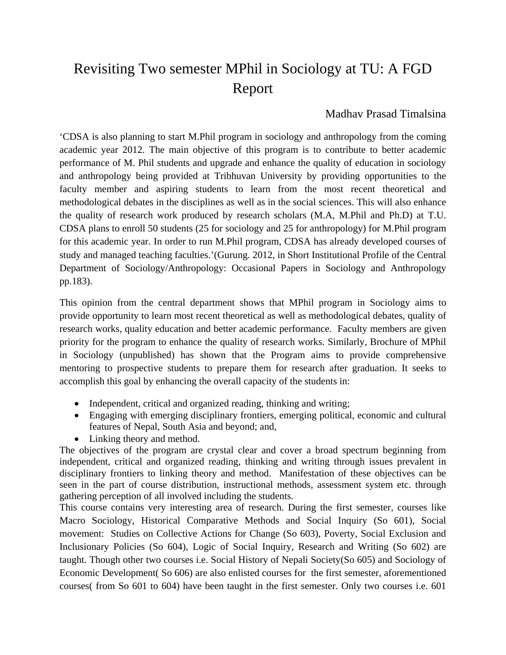# Revisiting Two semester MPhil in Sociology at TU: A FGD Report

### Madhav Prasad Timalsina

'CDSA is also planning to start M.Phil program in sociology and anthropology from the coming academic year 2012. The main objective of this program is to contribute to better academic performance of M. Phil students and upgrade and enhance the quality of education in sociology and anthropology being provided at Tribhuvan University by providing opportunities to the faculty member and aspiring students to learn from the most recent theoretical and methodological debates in the disciplines as well as in the social sciences. This will also enhance the quality of research work produced by research scholars (M.A, M.Phil and Ph.D) at T.U. CDSA plans to enroll 50 students (25 for sociology and 25 for anthropology) for M.Phil program for this academic year. In order to run M.Phil program, CDSA has already developed courses of study and managed teaching faculties.'(Gurung. 2012, in Short Institutional Profile of the Central Department of Sociology/Anthropology: Occasional Papers in Sociology and Anthropology pp.183).

This opinion from the central department shows that MPhil program in Sociology aims to provide opportunity to learn most recent theoretical as well as methodological debates, quality of research works, quality education and better academic performance. Faculty members are given priority for the program to enhance the quality of research works. Similarly, Brochure of MPhil in Sociology (unpublished) has shown that the Program aims to provide comprehensive mentoring to prospective students to prepare them for research after graduation. It seeks to accomplish this goal by enhancing the overall capacity of the students in:

- Independent, critical and organized reading, thinking and writing;
- Engaging with emerging disciplinary frontiers, emerging political, economic and cultural features of Nepal, South Asia and beyond; and,
- Linking theory and method.

The objectives of the program are crystal clear and cover a broad spectrum beginning from independent, critical and organized reading, thinking and writing through issues prevalent in disciplinary frontiers to linking theory and method. Manifestation of these objectives can be seen in the part of course distribution, instructional methods, assessment system etc. through gathering perception of all involved including the students.

This course contains very interesting area of research. During the first semester, courses like Macro Sociology, Historical Comparative Methods and Social Inquiry (So 601), Social movement: Studies on Collective Actions for Change (So 603), Poverty, Social Exclusion and Inclusionary Policies (So 604), Logic of Social Inquiry, Research and Writing (So 602) are taught. Though other two courses i.e. Social History of Nepali Society(So 605) and Sociology of Economic Development( So 606) are also enlisted courses for the first semester, aforementioned courses( from So 601 to 604) have been taught in the first semester. Only two courses i.e. 601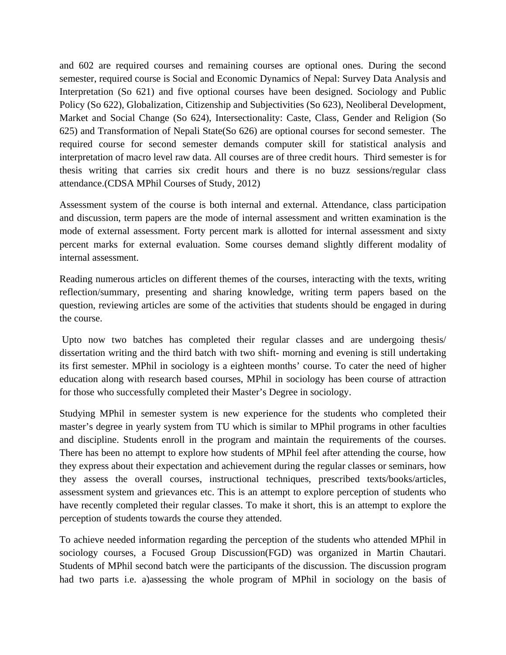and 602 are required courses and remaining courses are optional ones. During the second semester, required course is Social and Economic Dynamics of Nepal: Survey Data Analysis and Interpretation (So 621) and five optional courses have been designed. Sociology and Public Policy (So 622), Globalization, Citizenship and Subjectivities (So 623), Neoliberal Development, Market and Social Change (So 624), Intersectionality: Caste, Class, Gender and Religion (So 625) and Transformation of Nepali State(So 626) are optional courses for second semester. The required course for second semester demands computer skill for statistical analysis and interpretation of macro level raw data. All courses are of three credit hours. Third semester is for thesis writing that carries six credit hours and there is no buzz sessions/regular class attendance.(CDSA MPhil Courses of Study, 2012)

Assessment system of the course is both internal and external. Attendance, class participation and discussion, term papers are the mode of internal assessment and written examination is the mode of external assessment. Forty percent mark is allotted for internal assessment and sixty percent marks for external evaluation. Some courses demand slightly different modality of internal assessment.

Reading numerous articles on different themes of the courses, interacting with the texts, writing reflection/summary, presenting and sharing knowledge, writing term papers based on the question, reviewing articles are some of the activities that students should be engaged in during the course.

 Upto now two batches has completed their regular classes and are undergoing thesis/ dissertation writing and the third batch with two shift- morning and evening is still undertaking its first semester. MPhil in sociology is a eighteen months' course. To cater the need of higher education along with research based courses, MPhil in sociology has been course of attraction for those who successfully completed their Master's Degree in sociology.

Studying MPhil in semester system is new experience for the students who completed their master's degree in yearly system from TU which is similar to MPhil programs in other faculties and discipline. Students enroll in the program and maintain the requirements of the courses. There has been no attempt to explore how students of MPhil feel after attending the course, how they express about their expectation and achievement during the regular classes or seminars, how they assess the overall courses, instructional techniques, prescribed texts/books/articles, assessment system and grievances etc. This is an attempt to explore perception of students who have recently completed their regular classes. To make it short, this is an attempt to explore the perception of students towards the course they attended.

To achieve needed information regarding the perception of the students who attended MPhil in sociology courses, a Focused Group Discussion(FGD) was organized in Martin Chautari. Students of MPhil second batch were the participants of the discussion. The discussion program had two parts i.e. a)assessing the whole program of MPhil in sociology on the basis of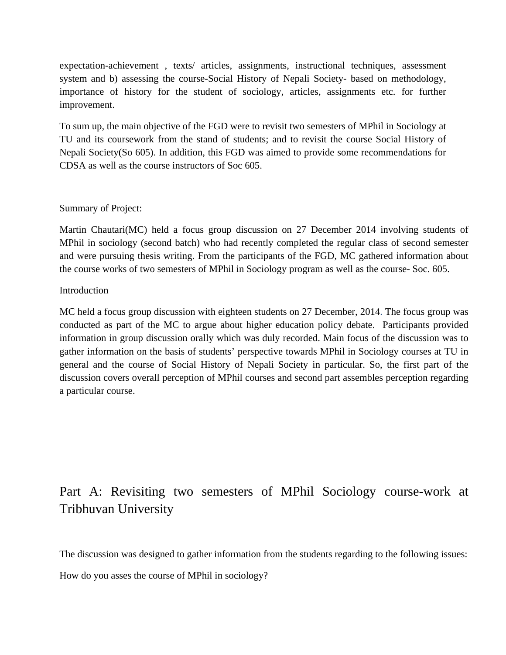expectation-achievement , texts/ articles, assignments, instructional techniques, assessment system and b) assessing the course-Social History of Nepali Society- based on methodology, importance of history for the student of sociology, articles, assignments etc. for further improvement.

To sum up, the main objective of the FGD were to revisit two semesters of MPhil in Sociology at TU and its coursework from the stand of students; and to revisit the course Social History of Nepali Society(So 605). In addition, this FGD was aimed to provide some recommendations for CDSA as well as the course instructors of Soc 605.

### Summary of Project:

Martin Chautari(MC) held a focus group discussion on 27 December 2014 involving students of MPhil in sociology (second batch) who had recently completed the regular class of second semester and were pursuing thesis writing. From the participants of the FGD, MC gathered information about the course works of two semesters of MPhil in Sociology program as well as the course- Soc. 605.

#### Introduction

MC held a focus group discussion with eighteen students on 27 December, 2014. The focus group was conducted as part of the MC to argue about higher education policy debate. Participants provided information in group discussion orally which was duly recorded. Main focus of the discussion was to gather information on the basis of students' perspective towards MPhil in Sociology courses at TU in general and the course of Social History of Nepali Society in particular. So, the first part of the discussion covers overall perception of MPhil courses and second part assembles perception regarding a particular course.

## Part A: Revisiting two semesters of MPhil Sociology course-work at Tribhuvan University

The discussion was designed to gather information from the students regarding to the following issues:

How do you asses the course of MPhil in sociology?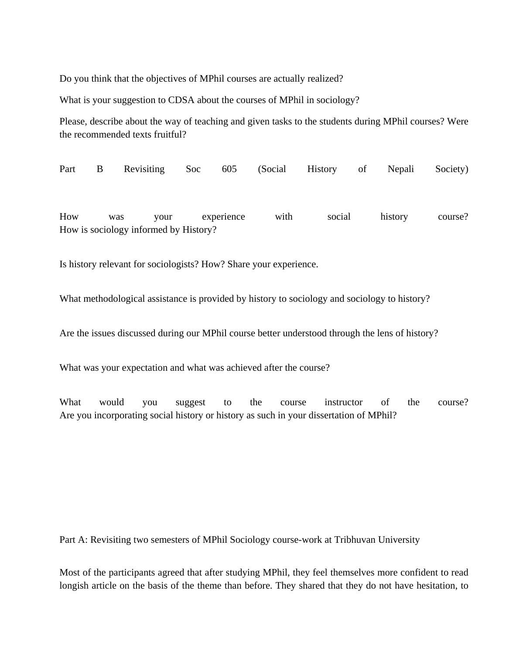Do you think that the objectives of MPhil courses are actually realized?

What is your suggestion to CDSA about the courses of MPhil in sociology?

Please, describe about the way of teaching and given tasks to the students during MPhil courses? Were the recommended texts fruitful?

Part B Revisiting Soc 605 (Social History of Nepali Society) How was your experience with social history course? How is sociology informed by History?

Is history relevant for sociologists? How? Share your experience.

What methodological assistance is provided by history to sociology and sociology to history?

Are the issues discussed during our MPhil course better understood through the lens of history?

What was your expectation and what was achieved after the course?

What would you suggest to the course instructor of the course? Are you incorporating social history or history as such in your dissertation of MPhil?

Part A: Revisiting two semesters of MPhil Sociology course-work at Tribhuvan University

Most of the participants agreed that after studying MPhil, they feel themselves more confident to read longish article on the basis of the theme than before. They shared that they do not have hesitation, to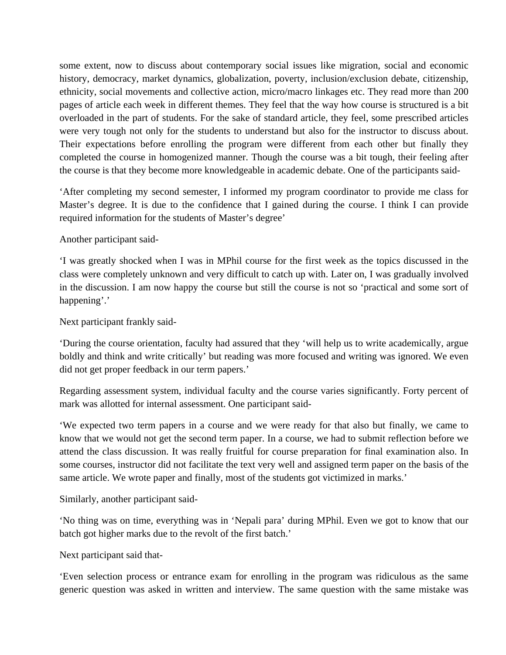some extent, now to discuss about contemporary social issues like migration, social and economic history, democracy, market dynamics, globalization, poverty, inclusion/exclusion debate, citizenship, ethnicity, social movements and collective action, micro/macro linkages etc. They read more than 200 pages of article each week in different themes. They feel that the way how course is structured is a bit overloaded in the part of students. For the sake of standard article, they feel, some prescribed articles were very tough not only for the students to understand but also for the instructor to discuss about. Their expectations before enrolling the program were different from each other but finally they completed the course in homogenized manner. Though the course was a bit tough, their feeling after the course is that they become more knowledgeable in academic debate. One of the participants said-

'After completing my second semester, I informed my program coordinator to provide me class for Master's degree. It is due to the confidence that I gained during the course. I think I can provide required information for the students of Master's degree'

Another participant said-

'I was greatly shocked when I was in MPhil course for the first week as the topics discussed in the class were completely unknown and very difficult to catch up with. Later on, I was gradually involved in the discussion. I am now happy the course but still the course is not so 'practical and some sort of happening'.'

Next participant frankly said-

'During the course orientation, faculty had assured that they 'will help us to write academically, argue boldly and think and write critically' but reading was more focused and writing was ignored. We even did not get proper feedback in our term papers.'

Regarding assessment system, individual faculty and the course varies significantly. Forty percent of mark was allotted for internal assessment. One participant said-

'We expected two term papers in a course and we were ready for that also but finally, we came to know that we would not get the second term paper. In a course, we had to submit reflection before we attend the class discussion. It was really fruitful for course preparation for final examination also. In some courses, instructor did not facilitate the text very well and assigned term paper on the basis of the same article. We wrote paper and finally, most of the students got victimized in marks.'

Similarly, another participant said-

'No thing was on time, everything was in 'Nepali para' during MPhil. Even we got to know that our batch got higher marks due to the revolt of the first batch.'

Next participant said that-

'Even selection process or entrance exam for enrolling in the program was ridiculous as the same generic question was asked in written and interview. The same question with the same mistake was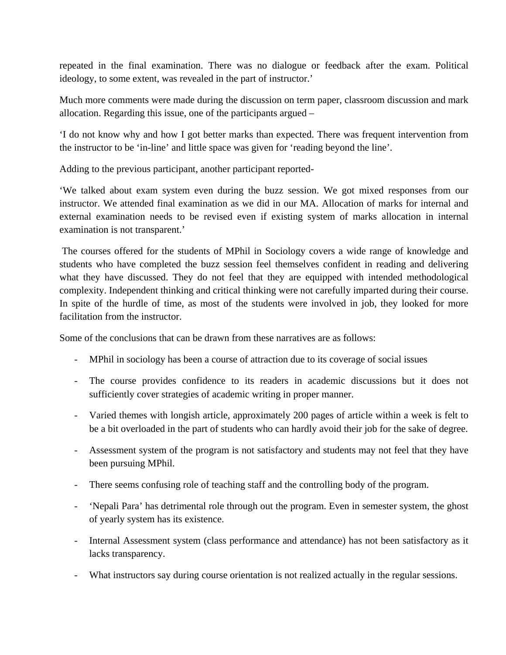repeated in the final examination. There was no dialogue or feedback after the exam. Political ideology, to some extent, was revealed in the part of instructor.'

Much more comments were made during the discussion on term paper, classroom discussion and mark allocation. Regarding this issue, one of the participants argued –

'I do not know why and how I got better marks than expected. There was frequent intervention from the instructor to be 'in-line' and little space was given for 'reading beyond the line'.

Adding to the previous participant, another participant reported-

'We talked about exam system even during the buzz session. We got mixed responses from our instructor. We attended final examination as we did in our MA. Allocation of marks for internal and external examination needs to be revised even if existing system of marks allocation in internal examination is not transparent.'

 The courses offered for the students of MPhil in Sociology covers a wide range of knowledge and students who have completed the buzz session feel themselves confident in reading and delivering what they have discussed. They do not feel that they are equipped with intended methodological complexity. Independent thinking and critical thinking were not carefully imparted during their course. In spite of the hurdle of time, as most of the students were involved in job, they looked for more facilitation from the instructor.

Some of the conclusions that can be drawn from these narratives are as follows:

- MPhil in sociology has been a course of attraction due to its coverage of social issues
- The course provides confidence to its readers in academic discussions but it does not sufficiently cover strategies of academic writing in proper manner.
- Varied themes with longish article, approximately 200 pages of article within a week is felt to be a bit overloaded in the part of students who can hardly avoid their job for the sake of degree.
- Assessment system of the program is not satisfactory and students may not feel that they have been pursuing MPhil.
- There seems confusing role of teaching staff and the controlling body of the program.
- 'Nepali Para' has detrimental role through out the program. Even in semester system, the ghost of yearly system has its existence.
- Internal Assessment system (class performance and attendance) has not been satisfactory as it lacks transparency.
- What instructors say during course orientation is not realized actually in the regular sessions.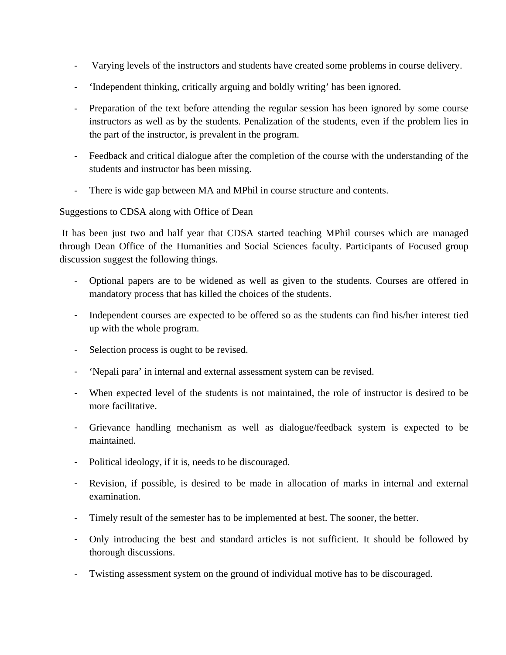- Varying levels of the instructors and students have created some problems in course delivery.
- 'Independent thinking, critically arguing and boldly writing' has been ignored.
- Preparation of the text before attending the regular session has been ignored by some course instructors as well as by the students. Penalization of the students, even if the problem lies in the part of the instructor, is prevalent in the program.
- Feedback and critical dialogue after the completion of the course with the understanding of the students and instructor has been missing.
- There is wide gap between MA and MPhil in course structure and contents.

### Suggestions to CDSA along with Office of Dean

 It has been just two and half year that CDSA started teaching MPhil courses which are managed through Dean Office of the Humanities and Social Sciences faculty. Participants of Focused group discussion suggest the following things.

- Optional papers are to be widened as well as given to the students. Courses are offered in mandatory process that has killed the choices of the students.
- Independent courses are expected to be offered so as the students can find his/her interest tied up with the whole program.
- Selection process is ought to be revised.
- 'Nepali para' in internal and external assessment system can be revised.
- When expected level of the students is not maintained, the role of instructor is desired to be more facilitative.
- Grievance handling mechanism as well as dialogue/feedback system is expected to be maintained.
- Political ideology, if it is, needs to be discouraged.
- Revision, if possible, is desired to be made in allocation of marks in internal and external examination.
- Timely result of the semester has to be implemented at best. The sooner, the better.
- Only introducing the best and standard articles is not sufficient. It should be followed by thorough discussions.
- Twisting assessment system on the ground of individual motive has to be discouraged.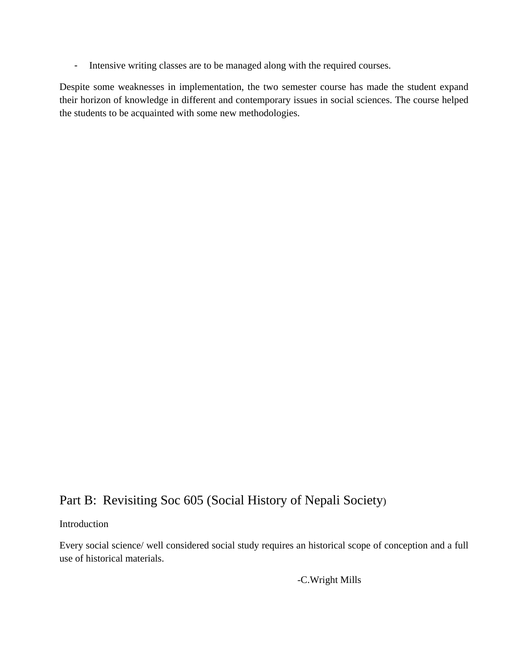- Intensive writing classes are to be managed along with the required courses.

Despite some weaknesses in implementation, the two semester course has made the student expand their horizon of knowledge in different and contemporary issues in social sciences. The course helped the students to be acquainted with some new methodologies.

### Part B: Revisiting Soc 605 (Social History of Nepali Society)

### Introduction

Every social science/ well considered social study requires an historical scope of conception and a full use of historical materials.

-C.Wright Mills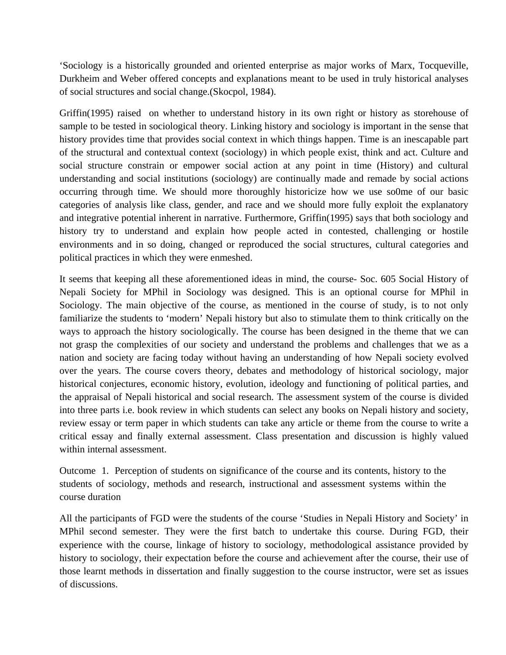'Sociology is a historically grounded and oriented enterprise as major works of Marx, Tocqueville, Durkheim and Weber offered concepts and explanations meant to be used in truly historical analyses of social structures and social change.(Skocpol, 1984).

Griffin(1995) raised on whether to understand history in its own right or history as storehouse of sample to be tested in sociological theory. Linking history and sociology is important in the sense that history provides time that provides social context in which things happen. Time is an inescapable part of the structural and contextual context (sociology) in which people exist, think and act. Culture and social structure constrain or empower social action at any point in time (History) and cultural understanding and social institutions (sociology) are continually made and remade by social actions occurring through time. We should more thoroughly historicize how we use so0me of our basic categories of analysis like class, gender, and race and we should more fully exploit the explanatory and integrative potential inherent in narrative. Furthermore, Griffin(1995) says that both sociology and history try to understand and explain how people acted in contested, challenging or hostile environments and in so doing, changed or reproduced the social structures, cultural categories and political practices in which they were enmeshed.

It seems that keeping all these aforementioned ideas in mind, the course- Soc. 605 Social History of Nepali Society for MPhil in Sociology was designed. This is an optional course for MPhil in Sociology. The main objective of the course, as mentioned in the course of study, is to not only familiarize the students to 'modern' Nepali history but also to stimulate them to think critically on the ways to approach the history sociologically. The course has been designed in the theme that we can not grasp the complexities of our society and understand the problems and challenges that we as a nation and society are facing today without having an understanding of how Nepali society evolved over the years. The course covers theory, debates and methodology of historical sociology, major historical conjectures, economic history, evolution, ideology and functioning of political parties, and the appraisal of Nepali historical and social research. The assessment system of the course is divided into three parts i.e. book review in which students can select any books on Nepali history and society, review essay or term paper in which students can take any article or theme from the course to write a critical essay and finally external assessment. Class presentation and discussion is highly valued within internal assessment.

Outcome 1. Perception of students on significance of the course and its contents, history to the students of sociology, methods and research, instructional and assessment systems within the course duration

All the participants of FGD were the students of the course 'Studies in Nepali History and Society' in MPhil second semester. They were the first batch to undertake this course. During FGD, their experience with the course, linkage of history to sociology, methodological assistance provided by history to sociology, their expectation before the course and achievement after the course, their use of those learnt methods in dissertation and finally suggestion to the course instructor, were set as issues of discussions.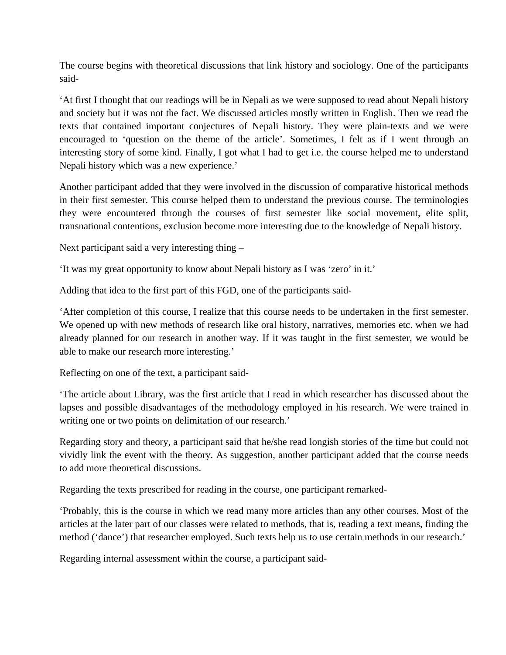The course begins with theoretical discussions that link history and sociology. One of the participants said-

'At first I thought that our readings will be in Nepali as we were supposed to read about Nepali history and society but it was not the fact. We discussed articles mostly written in English. Then we read the texts that contained important conjectures of Nepali history. They were plain-texts and we were encouraged to 'question on the theme of the article'. Sometimes, I felt as if I went through an interesting story of some kind. Finally, I got what I had to get i.e. the course helped me to understand Nepali history which was a new experience.'

Another participant added that they were involved in the discussion of comparative historical methods in their first semester. This course helped them to understand the previous course. The terminologies they were encountered through the courses of first semester like social movement, elite split, transnational contentions, exclusion become more interesting due to the knowledge of Nepali history.

Next participant said a very interesting thing –

'It was my great opportunity to know about Nepali history as I was 'zero' in it.'

Adding that idea to the first part of this FGD, one of the participants said-

'After completion of this course, I realize that this course needs to be undertaken in the first semester. We opened up with new methods of research like oral history, narratives, memories etc. when we had already planned for our research in another way. If it was taught in the first semester, we would be able to make our research more interesting.'

Reflecting on one of the text, a participant said-

'The article about Library, was the first article that I read in which researcher has discussed about the lapses and possible disadvantages of the methodology employed in his research. We were trained in writing one or two points on delimitation of our research.'

Regarding story and theory, a participant said that he/she read longish stories of the time but could not vividly link the event with the theory. As suggestion, another participant added that the course needs to add more theoretical discussions.

Regarding the texts prescribed for reading in the course, one participant remarked-

'Probably, this is the course in which we read many more articles than any other courses. Most of the articles at the later part of our classes were related to methods, that is, reading a text means, finding the method ('dance') that researcher employed. Such texts help us to use certain methods in our research.'

Regarding internal assessment within the course, a participant said-